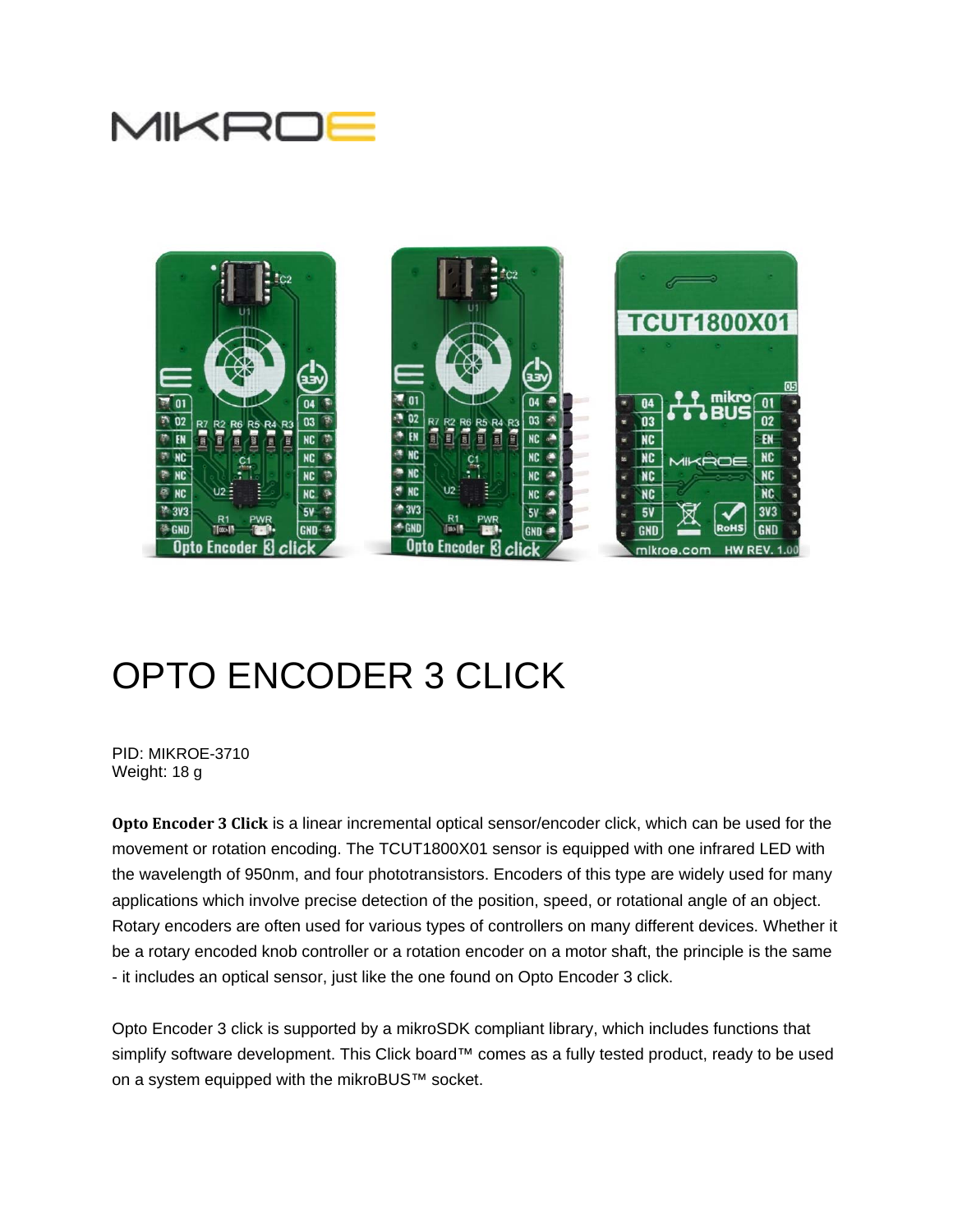



# OPTO ENCODER 3 CLICK

PID: MIKROE-3710 Weight: 18 g

**Opto Encoder 3 Click** is a linear incremental optical sensor/encoder click, which can be used for the movement or rotation encoding. The TCUT1800X01 sensor is equipped with one infrared LED with the wavelength of 950nm, and four phototransistors. Encoders of this type are widely used for many applications which involve precise detection of the position, speed, or rotational angle of an object. Rotary encoders are often used for various types of controllers on many different devices. Whether it be a rotary encoded knob controller or a rotation encoder on a motor shaft, the principle is the same - it includes an optical sensor, just like the one found on Opto Encoder 3 click.

Opto Encoder 3 click is supported by a mikroSDK compliant library, which includes functions that simplify software development. This Click board™ comes as a fully tested product, ready to be used on a system equipped with the mikroBUS™ socket.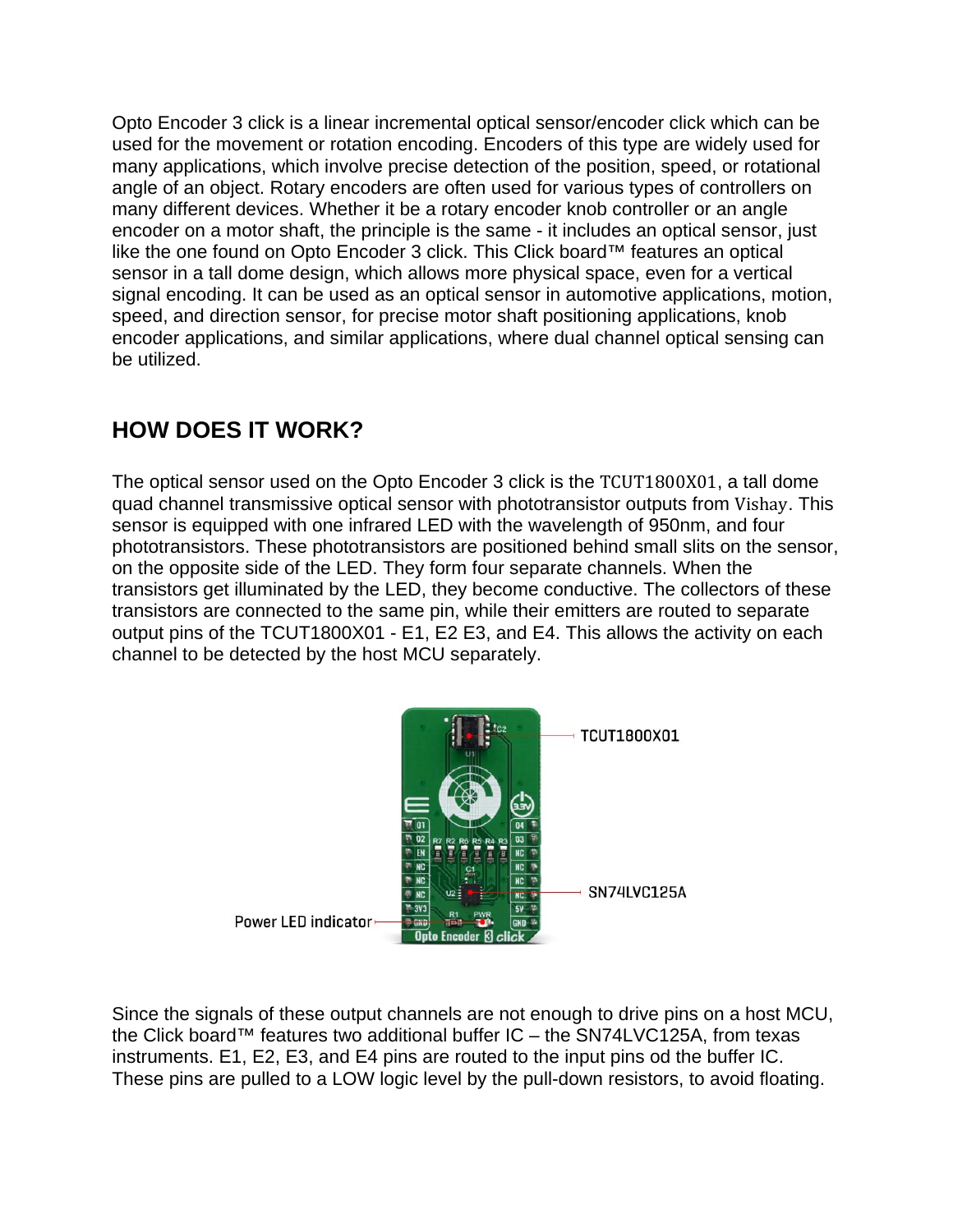Opto Encoder 3 click is a linear incremental optical sensor/encoder click which can be used for the movement or rotation encoding. Encoders of this type are widely used for many applications, which involve precise detection of the position, speed, or rotational angle of an object. Rotary encoders are often used for various types of controllers on many different devices. Whether it be a rotary encoder knob controller or an angle encoder on a motor shaft, the principle is the same - it includes an optical sensor, just like the one found on Opto Encoder 3 click. This Click board™ features an optical sensor in a tall dome design, which allows more physical space, even for a vertical signal encoding. It can be used as an optical sensor in automotive applications, motion, speed, and direction sensor, for precise motor shaft positioning applications, knob encoder applications, and similar applications, where dual channel optical sensing can be utilized.

## **HOW DOES IT WORK?**

The optical sensor used on the Opto Encoder 3 click is the TCUT1800X01, a tall dome quad channel transmissive optical sensor with phototransistor outputs from Vishay. This sensor is equipped with one infrared LED with the wavelength of 950nm, and four phototransistors. These phototransistors are positioned behind small slits on the sensor, on the opposite side of the LED. They form four separate channels. When the transistors get illuminated by the LED, they become conductive. The collectors of these transistors are connected to the same pin, while their emitters are routed to separate output pins of the TCUT1800X01 - E1, E2 E3, and E4. This allows the activity on each channel to be detected by the host MCU separately.



Since the signals of these output channels are not enough to drive pins on a host MCU, the Click board™ features two additional buffer IC – the SN74LVC125A, from texas instruments. E1, E2, E3, and E4 pins are routed to the input pins od the buffer IC. These pins are pulled to a LOW logic level by the pull-down resistors, to avoid floating.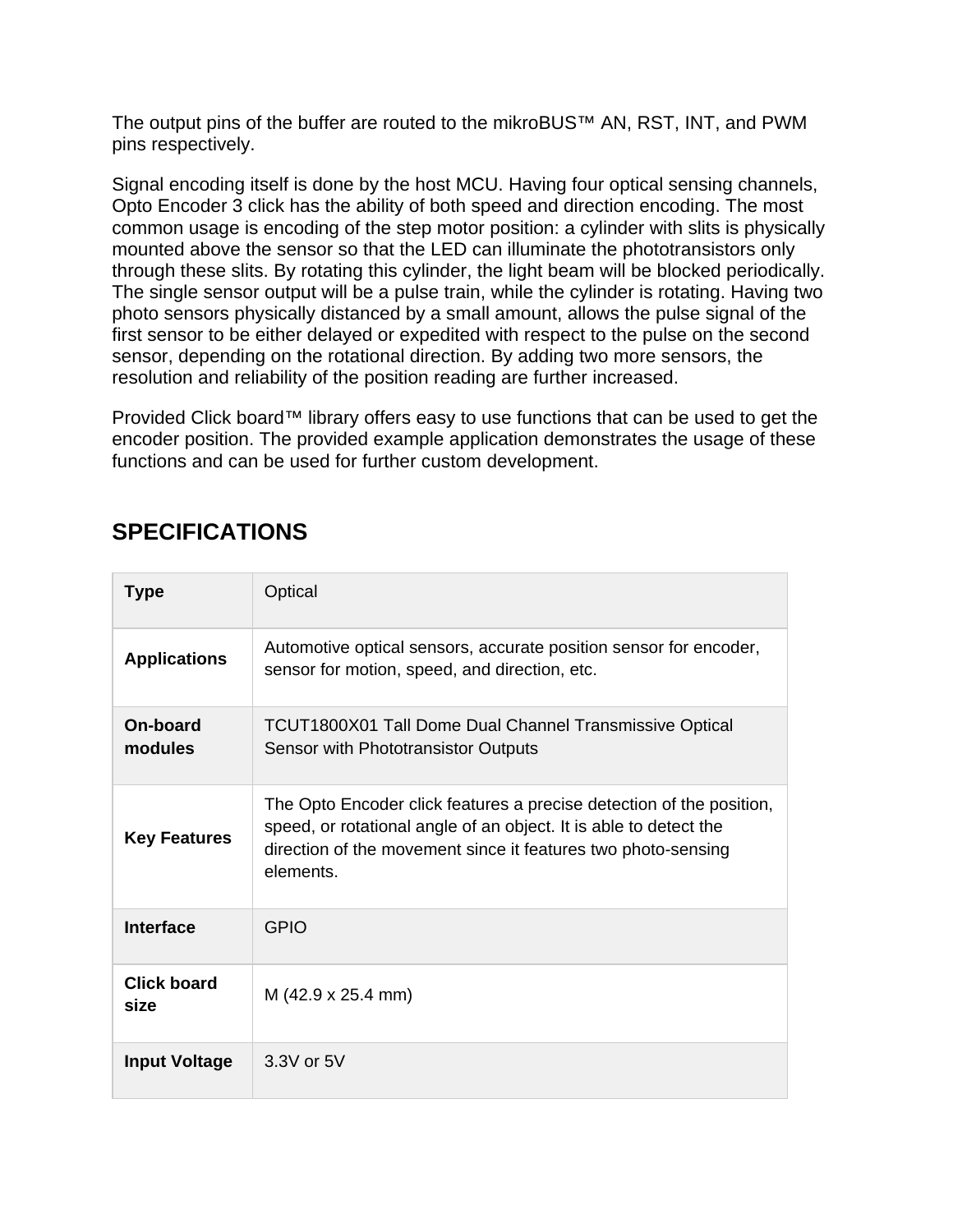The output pins of the buffer are routed to the mikroBUS™ AN, RST, INT, and PWM pins respectively.

Signal encoding itself is done by the host MCU. Having four optical sensing channels, Opto Encoder 3 click has the ability of both speed and direction encoding. The most common usage is encoding of the step motor position: a cylinder with slits is physically mounted above the sensor so that the LED can illuminate the phototransistors only through these slits. By rotating this cylinder, the light beam will be blocked periodically. The single sensor output will be a pulse train, while the cylinder is rotating. Having two photo sensors physically distanced by a small amount, allows the pulse signal of the first sensor to be either delayed or expedited with respect to the pulse on the second sensor, depending on the rotational direction. By adding two more sensors, the resolution and reliability of the position reading are further increased.

Provided Click board™ library offers easy to use functions that can be used to get the encoder position. The provided example application demonstrates the usage of these functions and can be used for further custom development.

#### **SPECIFICATIONS**

| Type                       | Optical                                                                                                                                                                                                                 |
|----------------------------|-------------------------------------------------------------------------------------------------------------------------------------------------------------------------------------------------------------------------|
| <b>Applications</b>        | Automotive optical sensors, accurate position sensor for encoder,<br>sensor for motion, speed, and direction, etc.                                                                                                      |
| On-board<br>modules        | <b>TCUT1800X01 Tall Dome Dual Channel Transmissive Optical</b><br>Sensor with Phototransistor Outputs                                                                                                                   |
| <b>Key Features</b>        | The Opto Encoder click features a precise detection of the position,<br>speed, or rotational angle of an object. It is able to detect the<br>direction of the movement since it features two photo-sensing<br>elements. |
| <b>Interface</b>           | GPIO                                                                                                                                                                                                                    |
| <b>Click board</b><br>size | M (42.9 x 25.4 mm)                                                                                                                                                                                                      |
| <b>Input Voltage</b>       | $3.3V$ or $5V$                                                                                                                                                                                                          |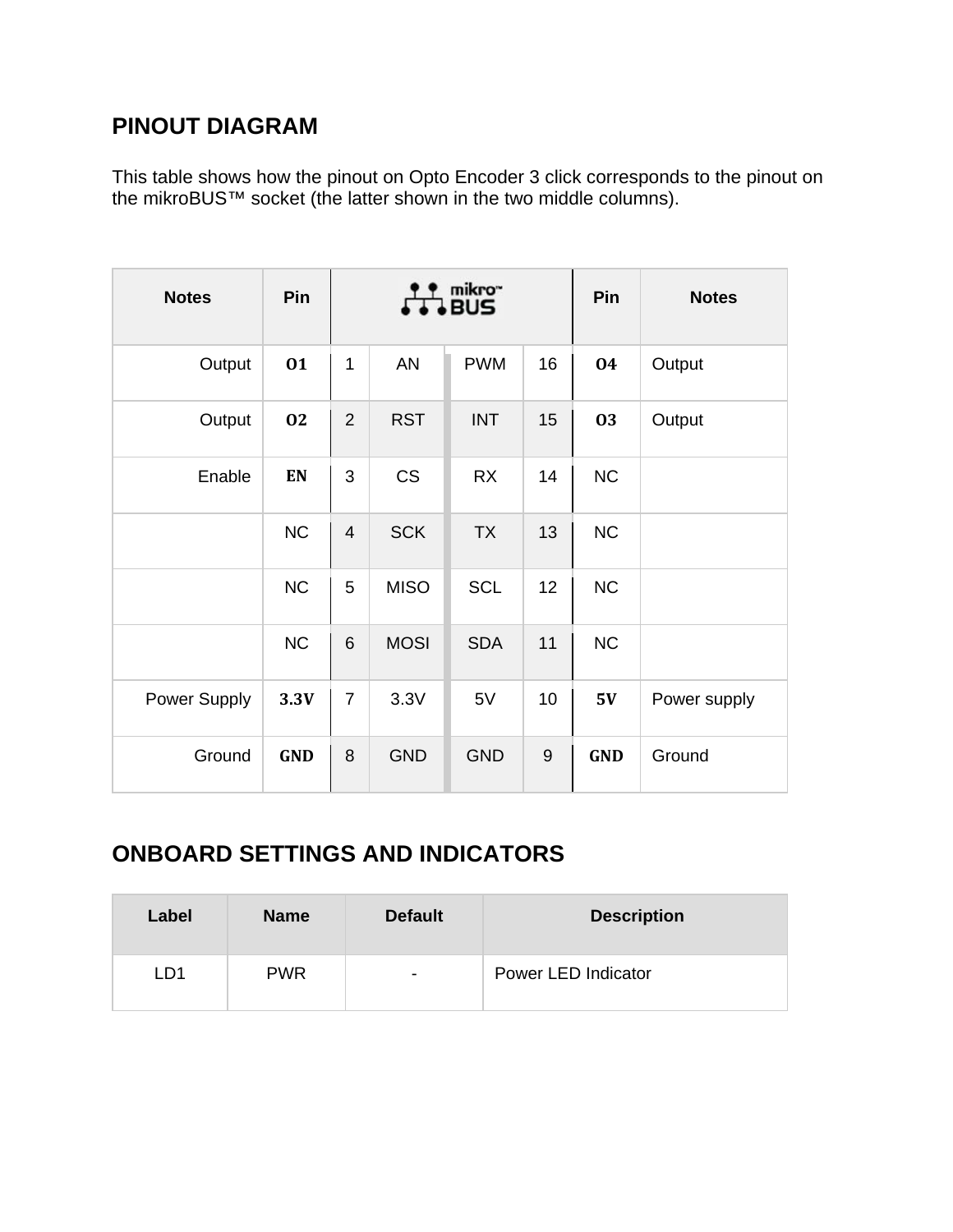#### **PINOUT DIAGRAM**

This table shows how the pinout on Opto Encoder 3 click corresponds to the pinout on the mikroBUS™ socket (the latter shown in the two middle columns).

| <b>Notes</b> | Pin        | mikro <sup>~</sup><br><b>BUS</b> |             |            |       | Pin        | <b>Notes</b> |
|--------------|------------|----------------------------------|-------------|------------|-------|------------|--------------|
| Output       | 01         | 1                                | AN          | <b>PWM</b> | 16    | 04         | Output       |
| Output       | 02         | $\overline{2}$                   | <b>RST</b>  | <b>INT</b> | 15    | 03         | Output       |
| Enable       | EN         | 3                                | <b>CS</b>   | <b>RX</b>  | 14    | <b>NC</b>  |              |
|              | NC         | $\overline{4}$                   | <b>SCK</b>  | <b>TX</b>  | 13    | <b>NC</b>  |              |
|              | NC         | 5                                | <b>MISO</b> | <b>SCL</b> | 12    | <b>NC</b>  |              |
|              | NC         | 6                                | <b>MOSI</b> | <b>SDA</b> | 11    | <b>NC</b>  |              |
| Power Supply | 3.3V       | $\overline{7}$                   | 3.3V        | 5V         | 10    | 5V         | Power supply |
| Ground       | <b>GND</b> | 8                                | <b>GND</b>  | <b>GND</b> | $9\,$ | <b>GND</b> | Ground       |

### **ONBOARD SETTINGS AND INDICATORS**

| Label | <b>Name</b> | <b>Default</b>           | <b>Description</b>  |
|-------|-------------|--------------------------|---------------------|
| LD1   | <b>PWR</b>  | $\overline{\phantom{0}}$ | Power LED Indicator |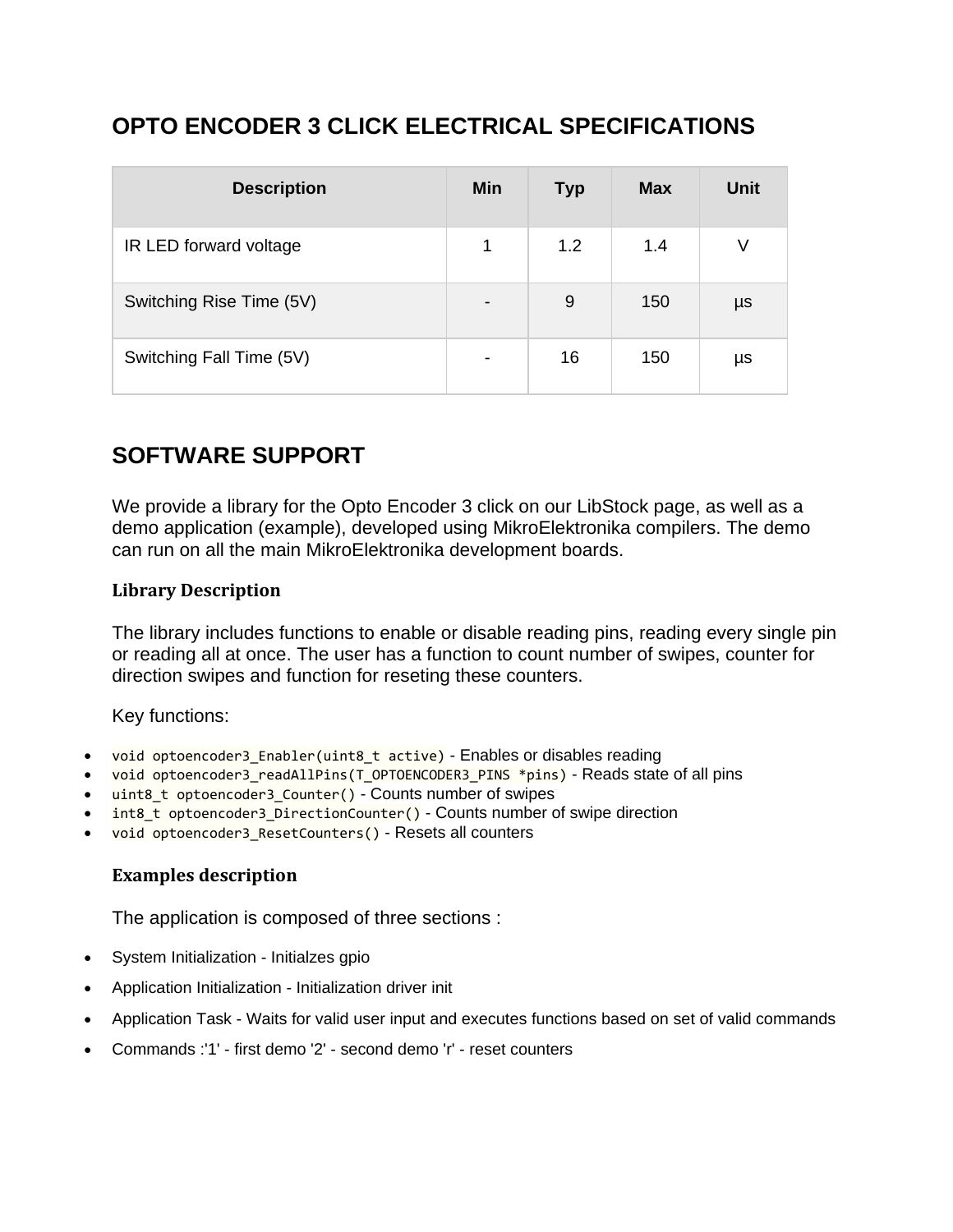### **OPTO ENCODER 3 CLICK ELECTRICAL SPECIFICATIONS**

| <b>Description</b>       | Min                      | <b>Typ</b> | <b>Max</b> | <b>Unit</b> |
|--------------------------|--------------------------|------------|------------|-------------|
| IR LED forward voltage   | 1                        | 1.2        | 1.4        |             |
| Switching Rise Time (5V) | $\overline{\phantom{a}}$ | 9          | 150        | μs          |
| Switching Fall Time (5V) | $\overline{\phantom{0}}$ | 16         | 150        | μs          |

### **SOFTWARE SUPPORT**

We provide a library for the Opto Encoder 3 click on our LibStock page, as well as a demo application (example), developed using MikroElektronika compilers. The demo can run on all the main MikroElektronika development boards.

#### **Library Description**

The library includes functions to enable or disable reading pins, reading every single pin or reading all at once. The user has a function to count number of swipes, counter for direction swipes and function for reseting these counters.

Key functions:

- void optoencoder3\_Enabler(uint8\_t active) Enables or disables reading
- void optoencoder3 readAllPins(T\_OPTOENCODER3\_PINS \*pins) Reads state of all pins
- uint8\_t optoencoder3\_Counter() Counts number of swipes
- int8\_t optoencoder3\_DirectionCounter() Counts number of swipe direction
- void optoencoder3 ResetCounters() Resets all counters

#### **Examples description**

The application is composed of three sections :

- System Initialization Initialzes gpio
- Application Initialization Initialization driver init
- Application Task Waits for valid user input and executes functions based on set of valid commands
- Commands :'1' first demo '2' second demo 'r' reset counters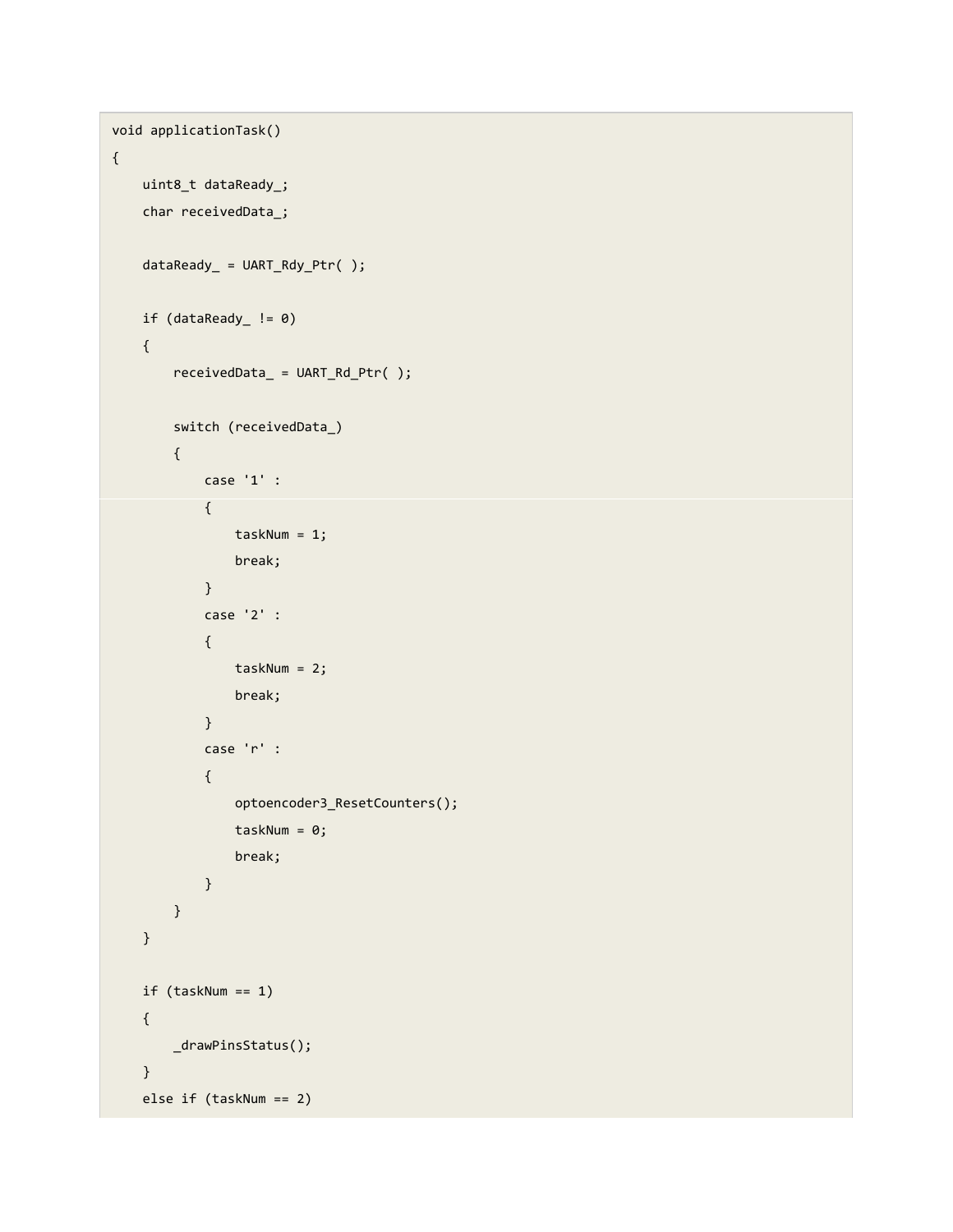```
void applicationTask()
{
          uint8_t dataReady_;
          char receivedData_;
          dataReady_ = UART_Rdy_Ptr( );
      if (dataReady_ != 0)    {
                     receivedData_ = UART_Rd_Ptr( );
                     switch (receivedData_)
                     {
                                case '1' :
                                {
                                          taskNum = 1;
                                          break;
                                }
                                case '2' :
                                {
                          taskNum = 2;                break;
                                }
                                case 'r' :
                                {
                                           optoencoder3_ResetCounters();
                          taskNum = 0;                break;
                                }
                     }
          }
          if (taskNum == 1)
          {
                     _drawPinsStatus();
          }
          else if (taskNum == 2)
```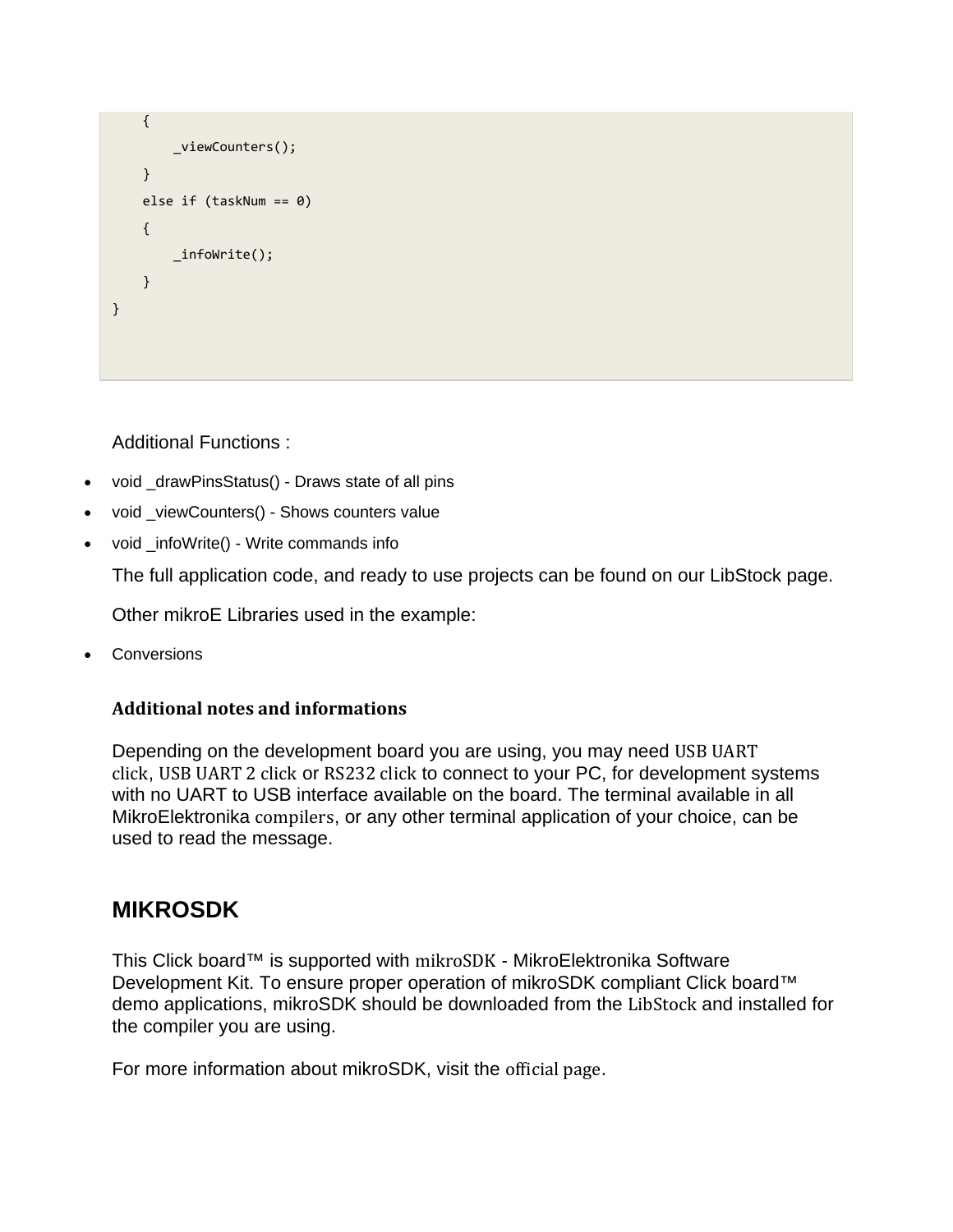```
    {
                     _viewCounters();
          }
          else if (taskNum == 0)
          {
                     _infoWrite();
          }
}
```
Additional Functions :

- void \_drawPinsStatus() Draws state of all pins
- void \_viewCounters() Shows counters value
- void \_infoWrite() Write commands info

The full application code, and ready to use projects can be found on our LibStock page.

Other mikroE Libraries used in the example:

Conversions

#### **Additional notes and informations**

Depending on the development board you are using, you may need USB UART click, USB UART 2 click or RS232 click to connect to your PC, for development systems with no UART to USB interface available on the board. The terminal available in all MikroElektronika compilers, or any other terminal application of your choice, can be used to read the message.

#### **MIKROSDK**

This Click board™ is supported with mikroSDK - MikroElektronika Software Development Kit. To ensure proper operation of mikroSDK compliant Click board™ demo applications, mikroSDK should be downloaded from the LibStock and installed for the compiler you are using.

For more information about mikroSDK, visit the official page.